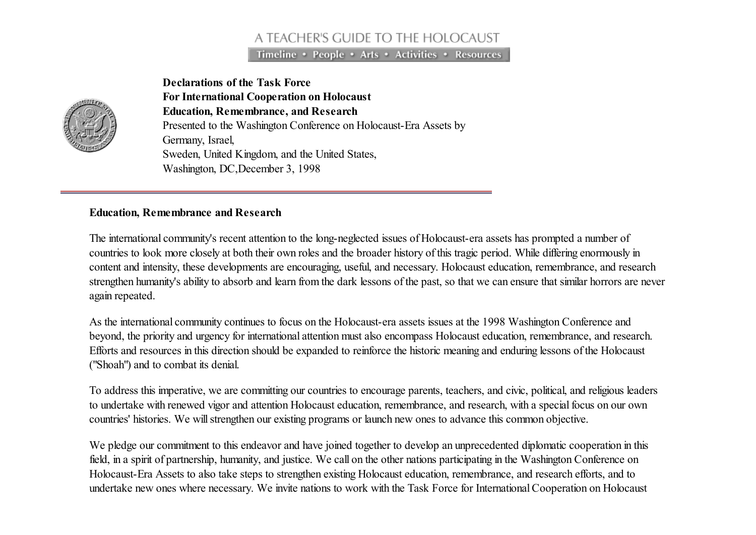## A TEACHER'S GUIDE TO THE HOLOCAUST

Timeline • People • Arts • Activities • Resources



Declarations of the Task Force For International Cooperation on Holocaust Education, Remembrance, and Research Presented to the Washington Conference on Holocaust-Era Assets by Germany, Israel, Sweden, United Kingdom, and the United States, Washington, DC,December 3, 1998

## Education, Remembrance and Research

The international community's recent attention to the long-neglected issues of Holocaust-era assets has prompted a number of countries to look more closely at both their own roles and the broader history of this tragic period. While differing enormously in content and intensity, these developments are encouraging, useful, and necessary. Holocaust education, remembrance, and research strengthen humanity's ability to absorb and learn from the dark lessons of the past, so that we can ensure that similar horrors are never again repeated.

As the international community continues to focus on the Holocaust-era assets issues at the 1998 Washington Conference and beyond, the priority and urgency for international attention must also encompass Holocaust education, remembrance, and research. Efforts and resources in this direction should be expanded to reinforce the historic meaning and enduring lessons of the Holocaust ("Shoah") and to combat its denial.

To address this imperative, we are committing our countries to encourage parents, teachers, and civic, political, and religious leaders to undertake with renewed vigor and attention Holocaust education, remembrance, and research, with a special focus on our own countries' histories. We willstrengthen our existing programs or launch new ones to advance this common objective.

We pledge our commitment to this endeavor and have joined together to develop an unprecedented diplomatic cooperation in this field, in a spirit of partnership, humanity, and justice. We call on the other nations participating in the Washington Conference on Holocaust-Era Assets to also take steps to strengthen existing Holocaust education, remembrance, and research efforts, and to undertake new ones where necessary. We invite nations to work with the Task Force for InternationalCooperation on Holocaust